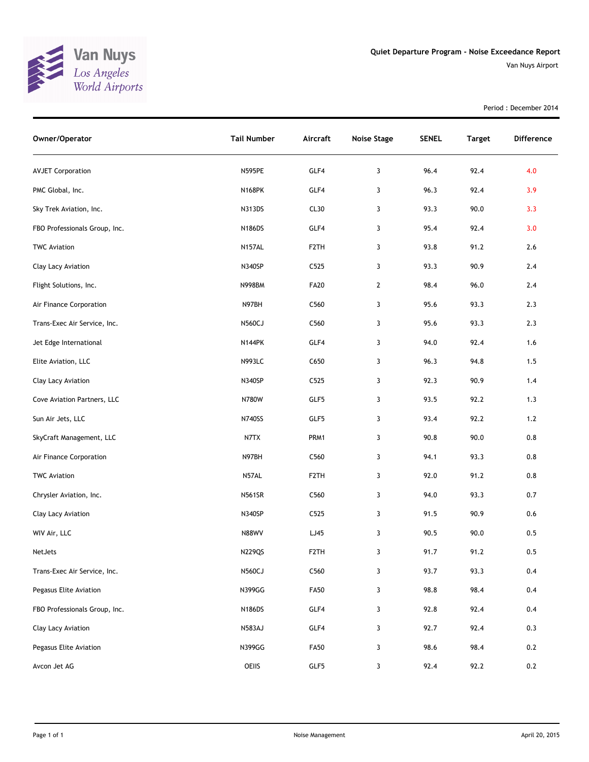

Period : December 2014

| Owner/Operator                | <b>Tail Number</b> | Aircraft          | <b>Noise Stage</b> | <b>SENEL</b> | <b>Target</b> | <b>Difference</b> |
|-------------------------------|--------------------|-------------------|--------------------|--------------|---------------|-------------------|
| <b>AVJET Corporation</b>      | <b>N595PE</b>      | GLF4              | 3                  | 96.4         | 92.4          | 4.0               |
| PMC Global, Inc.              | <b>N168PK</b>      | GLF4              | 3                  | 96.3         | 92.4          | 3.9               |
| Sky Trek Aviation, Inc.       | N313DS             | CL30              | 3                  | 93.3         | 90.0          | 3.3               |
| FBO Professionals Group, Inc. | <b>N186DS</b>      | GLF4              | 3                  | 95.4         | 92.4          | 3.0               |
| <b>TWC Aviation</b>           | <b>N157AL</b>      | F <sub>2</sub> TH | 3                  | 93.8         | 91.2          | 2.6               |
| Clay Lacy Aviation            | <b>N340SP</b>      | C525              | 3                  | 93.3         | 90.9          | 2.4               |
| Flight Solutions, Inc.        | <b>N998BM</b>      | <b>FA20</b>       | $\overline{2}$     | 98.4         | 96.0          | 2.4               |
| Air Finance Corporation       | N97BH              | C560              | 3                  | 95.6         | 93.3          | 2.3               |
| Trans-Exec Air Service, Inc.  | <b>N560CJ</b>      | C560              | 3                  | 95.6         | 93.3          | 2.3               |
| Jet Edge International        | <b>N144PK</b>      | GLF4              | 3                  | 94.0         | 92.4          | 1.6               |
| Elite Aviation, LLC           | <b>N993LC</b>      | C650              | 3                  | 96.3         | 94.8          | 1.5               |
| Clay Lacy Aviation            | N340SP             | C525              | 3                  | 92.3         | 90.9          | 1.4               |
| Cove Aviation Partners, LLC   | N780W              | GLF5              | 3                  | 93.5         | 92.2          | 1.3               |
| Sun Air Jets, LLC             | N740SS             | GLF5              | 3                  | 93.4         | 92.2          | $1.2$             |
| SkyCraft Management, LLC      | N7TX               | PRM1              | 3                  | 90.8         | 90.0          | $0.8\,$           |
| Air Finance Corporation       | N97BH              | C560              | 3                  | 94.1         | 93.3          | 0.8               |
| <b>TWC Aviation</b>           | N57AL              | F <sub>2</sub> TH | 3                  | 92.0         | 91.2          | 0.8               |
| Chrysler Aviation, Inc.       | <b>N561SR</b>      | C560              | 3                  | 94.0         | 93.3          | $0.7\,$           |
| Clay Lacy Aviation            | N340SP             | C525              | 3                  | 91.5         | 90.9          | 0.6               |
| WIV Air, LLC                  | <b>N88WV</b>       | LJ45              | 3                  | 90.5         | 90.0          | 0.5               |
| NetJets                       | <b>N229QS</b>      | F <sub>2</sub> TH | 3                  | 91.7         | 91.2          | 0.5               |
| Trans-Exec Air Service, Inc.  | N560CJ             | C560              | 3                  | 93.7         | 93.3          | 0.4               |
| Pegasus Elite Aviation        | N399GG             | <b>FA50</b>       | 3                  | 98.8         | 98.4          | 0.4               |
| FBO Professionals Group, Inc. | N186DS             | GLF4              | 3                  | 92.8         | 92.4          | 0.4               |
| Clay Lacy Aviation            | <b>N583AJ</b>      | GLF4              | 3                  | 92.7         | 92.4          | 0.3               |
| Pegasus Elite Aviation        | N399GG             | <b>FA50</b>       | 3                  | 98.6         | 98.4          | 0.2               |
| Avcon Jet AG                  | OEIIS              | GLF5              | 3                  | 92.4         | 92.2          | 0.2               |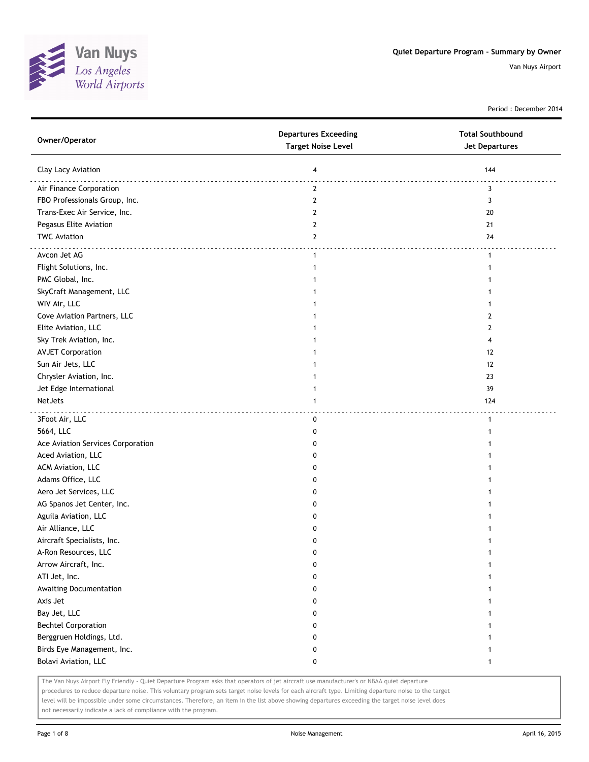

Period : December 2014

| Owner/Operator                    | <b>Departures Exceeding</b><br><b>Target Noise Level</b> | <b>Total Southbound</b><br>Jet Departures |
|-----------------------------------|----------------------------------------------------------|-------------------------------------------|
| Clay Lacy Aviation                | 4                                                        | 144                                       |
| Air Finance Corporation           | 2                                                        | 3                                         |
| FBO Professionals Group, Inc.     | $\mathbf{2}$                                             | 3                                         |
| Trans-Exec Air Service, Inc.      | $\mathbf{2}$                                             | 20                                        |
| Pegasus Elite Aviation            | $\mathbf{2}$                                             | 21                                        |
| <b>TWC Aviation</b>               | 2                                                        | 24                                        |
| Avcon Jet AG                      | $\mathbf{1}$                                             | 1                                         |
| Flight Solutions, Inc.            | $\mathbf{1}$                                             | 1                                         |
| PMC Global, Inc.                  |                                                          |                                           |
| SkyCraft Management, LLC          |                                                          |                                           |
| WIV Air, LLC                      |                                                          |                                           |
| Cove Aviation Partners, LLC       |                                                          | 2                                         |
| Elite Aviation, LLC               |                                                          | 2                                         |
| Sky Trek Aviation, Inc.           | 1                                                        | 4                                         |
| <b>AVJET Corporation</b>          | 1                                                        | 12                                        |
| Sun Air Jets, LLC                 | 1                                                        | 12                                        |
| Chrysler Aviation, Inc.           |                                                          | 23                                        |
| Jet Edge International            | 1                                                        | 39                                        |
| <b>NetJets</b>                    | $\mathbf{1}$                                             | 124                                       |
| 3Foot Air, LLC                    | 0                                                        | 1                                         |
| 5664, LLC                         | 0                                                        |                                           |
| Ace Aviation Services Corporation | 0                                                        |                                           |
| Aced Aviation, LLC                | 0                                                        |                                           |
| ACM Aviation, LLC                 | 0                                                        |                                           |
| Adams Office, LLC                 | 0                                                        |                                           |
| Aero Jet Services, LLC            | 0                                                        |                                           |
| AG Spanos Jet Center, Inc.        | 0                                                        |                                           |
| Aguila Aviation, LLC              | 0                                                        |                                           |
| Air Alliance, LLC                 | 0                                                        |                                           |
| Aircraft Specialists, Inc.        | 0                                                        |                                           |
| A-Ron Resources, LLC              | 0                                                        |                                           |
| Arrow Aircraft, Inc.              | 0                                                        |                                           |
| ATI Jet, Inc.                     | 0                                                        | 1                                         |
| Awaiting Documentation            | 0                                                        |                                           |
| Axis Jet                          | 0                                                        |                                           |
| Bay Jet, LLC                      | 0                                                        |                                           |
| <b>Bechtel Corporation</b>        | 0                                                        |                                           |
| Berggruen Holdings, Ltd.          | 0                                                        |                                           |
| Birds Eye Management, Inc.        | 0                                                        |                                           |
| Bolavi Aviation, LLC              | 0                                                        | 1                                         |

The Van Nuys Airport Fly Friendly - Quiet Departure Program asks that operators of jet aircraft use manufacturer's or NBAA quiet departure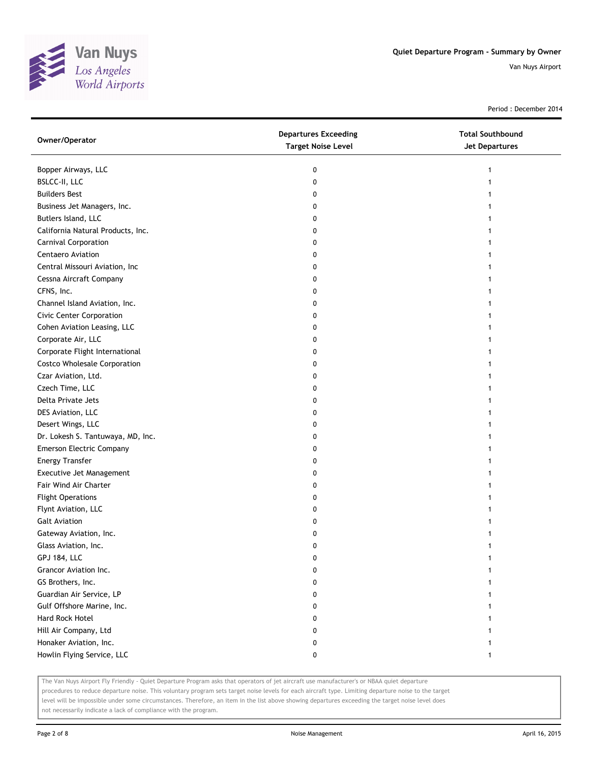

Period : December 2014

| Owner/Operator                      | <b>Departures Exceeding</b><br><b>Target Noise Level</b> | <b>Total Southbound</b><br><b>Jet Departures</b> |
|-------------------------------------|----------------------------------------------------------|--------------------------------------------------|
| Bopper Airways, LLC                 | 0                                                        | 1                                                |
| BSLCC-II, LLC                       | 0                                                        |                                                  |
| <b>Builders Best</b>                | 0                                                        |                                                  |
| Business Jet Managers, Inc.         | 0                                                        |                                                  |
| Butlers Island, LLC                 | 0                                                        |                                                  |
| California Natural Products, Inc.   | 0                                                        |                                                  |
| Carnival Corporation                | 0                                                        |                                                  |
| Centaero Aviation                   | 0                                                        |                                                  |
| Central Missouri Aviation, Inc      | 0                                                        |                                                  |
| Cessna Aircraft Company             | 0                                                        |                                                  |
| CFNS, Inc.                          | 0                                                        |                                                  |
| Channel Island Aviation, Inc.       | 0                                                        |                                                  |
| <b>Civic Center Corporation</b>     | 0                                                        |                                                  |
| Cohen Aviation Leasing, LLC         | 0                                                        |                                                  |
| Corporate Air, LLC                  | 0                                                        |                                                  |
| Corporate Flight International      | 0                                                        |                                                  |
| <b>Costco Wholesale Corporation</b> | 0                                                        |                                                  |
| Czar Aviation, Ltd.                 | 0                                                        |                                                  |
| Czech Time, LLC                     | 0                                                        |                                                  |
| Delta Private Jets                  | 0                                                        |                                                  |
| DES Aviation, LLC                   | 0                                                        |                                                  |
| Desert Wings, LLC                   | 0                                                        |                                                  |
| Dr. Lokesh S. Tantuwaya, MD, Inc.   | 0                                                        |                                                  |
| <b>Emerson Electric Company</b>     | 0                                                        |                                                  |
| <b>Energy Transfer</b>              | 0                                                        |                                                  |
| Executive Jet Management            | 0                                                        |                                                  |
| Fair Wind Air Charter               | 0                                                        | 1                                                |
| <b>Flight Operations</b>            | 0                                                        |                                                  |
| Flynt Aviation, LLC                 | 0                                                        |                                                  |
| <b>Galt Aviation</b>                | 0                                                        |                                                  |
| Gateway Aviation, Inc.              | 0                                                        |                                                  |
| Glass Aviation, Inc.                | 0                                                        |                                                  |
| GPJ 184, LLC                        | 0                                                        |                                                  |
| Grancor Aviation Inc.               | 0                                                        |                                                  |
| GS Brothers, Inc.                   | 0                                                        |                                                  |
| Guardian Air Service, LP            | 0                                                        |                                                  |
| Gulf Offshore Marine, Inc.          | 0                                                        |                                                  |
| Hard Rock Hotel                     | 0                                                        |                                                  |
| Hill Air Company, Ltd               | 0                                                        |                                                  |
| Honaker Aviation, Inc.              | 0                                                        |                                                  |
| Howlin Flying Service, LLC          | 0                                                        | 1                                                |

The Van Nuys Airport Fly Friendly - Quiet Departure Program asks that operators of jet aircraft use manufacturer's or NBAA quiet departure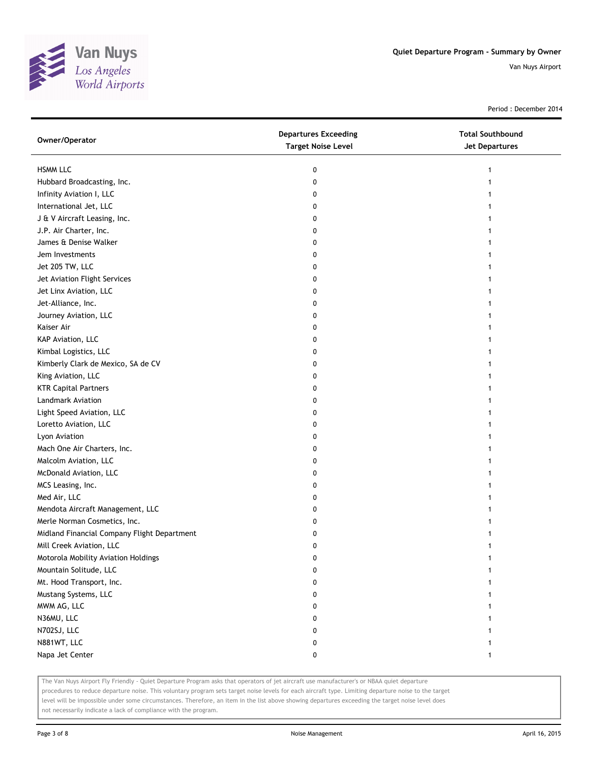

Period : December 2014

| Owner/Operator                              | <b>Departures Exceeding</b><br><b>Target Noise Level</b> | <b>Total Southbound</b><br><b>Jet Departures</b> |
|---------------------------------------------|----------------------------------------------------------|--------------------------------------------------|
| <b>HSMM LLC</b>                             | 0                                                        | 1                                                |
| Hubbard Broadcasting, Inc.                  | 0                                                        |                                                  |
| Infinity Aviation I, LLC                    | 0                                                        |                                                  |
| International Jet, LLC                      | 0                                                        |                                                  |
| J & V Aircraft Leasing, Inc.                | 0                                                        |                                                  |
| J.P. Air Charter, Inc.                      | 0                                                        |                                                  |
| James & Denise Walker                       | 0                                                        |                                                  |
| Jem Investments                             | 0                                                        |                                                  |
| Jet 205 TW, LLC                             | 0                                                        |                                                  |
| Jet Aviation Flight Services                | 0                                                        |                                                  |
| Jet Linx Aviation, LLC                      | 0                                                        |                                                  |
| Jet-Alliance, Inc.                          | 0                                                        |                                                  |
| Journey Aviation, LLC                       | 0                                                        |                                                  |
| Kaiser Air                                  | 0                                                        |                                                  |
| KAP Aviation, LLC                           | 0                                                        |                                                  |
| Kimbal Logistics, LLC                       | 0                                                        |                                                  |
| Kimberly Clark de Mexico, SA de CV          | 0                                                        |                                                  |
| King Aviation, LLC                          | 0                                                        |                                                  |
| <b>KTR Capital Partners</b>                 | 0                                                        |                                                  |
| Landmark Aviation                           | 0                                                        |                                                  |
| Light Speed Aviation, LLC                   | 0                                                        |                                                  |
| Loretto Aviation, LLC                       | 0                                                        |                                                  |
| Lyon Aviation                               | 0                                                        |                                                  |
| Mach One Air Charters, Inc.                 | 0                                                        |                                                  |
| Malcolm Aviation, LLC                       | 0                                                        |                                                  |
| McDonald Aviation, LLC                      | 0                                                        |                                                  |
| MCS Leasing, Inc.                           | 0                                                        |                                                  |
| Med Air, LLC                                | 0                                                        |                                                  |
| Mendota Aircraft Management, LLC            | 0                                                        |                                                  |
| Merle Norman Cosmetics, Inc.                | 0                                                        |                                                  |
| Midland Financial Company Flight Department | 0                                                        |                                                  |
| Mill Creek Aviation, LLC                    | 0                                                        |                                                  |
| Motorola Mobility Aviation Holdings         | 0                                                        |                                                  |
| Mountain Solitude, LLC                      | o                                                        |                                                  |
| Mt. Hood Transport, Inc.                    | 0                                                        |                                                  |
| Mustang Systems, LLC                        | 0                                                        |                                                  |
| MWM AG, LLC                                 | 0                                                        |                                                  |
| N36MU, LLC                                  | 0                                                        |                                                  |
| N702SJ, LLC                                 | 0                                                        |                                                  |
| N881WT, LLC                                 | 0                                                        |                                                  |
| Napa Jet Center                             | 0                                                        | 1                                                |

The Van Nuys Airport Fly Friendly - Quiet Departure Program asks that operators of jet aircraft use manufacturer's or NBAA quiet departure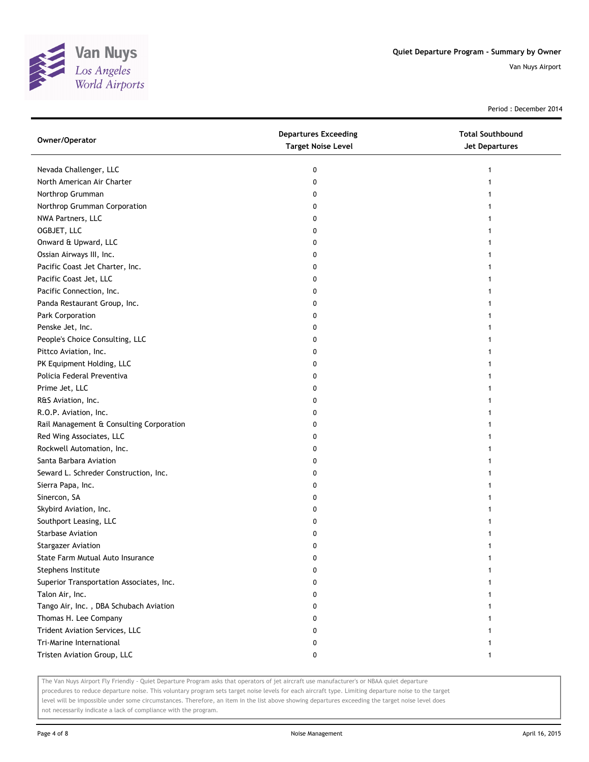

Period : December 2014

| Owner/Operator                           | <b>Departures Exceeding</b><br><b>Target Noise Level</b> | <b>Total Southbound</b><br>Jet Departures |
|------------------------------------------|----------------------------------------------------------|-------------------------------------------|
| Nevada Challenger, LLC                   | 0                                                        | 1                                         |
| North American Air Charter               | 0                                                        |                                           |
| Northrop Grumman                         | 0                                                        |                                           |
| Northrop Grumman Corporation             | 0                                                        |                                           |
| NWA Partners, LLC                        | 0                                                        |                                           |
| OGBJET, LLC                              | 0                                                        |                                           |
| Onward & Upward, LLC                     | 0                                                        |                                           |
| Ossian Airways III, Inc.                 | 0                                                        |                                           |
| Pacific Coast Jet Charter, Inc.          | 0                                                        |                                           |
| Pacific Coast Jet, LLC                   | 0                                                        |                                           |
| Pacific Connection, Inc.                 | 0                                                        |                                           |
| Panda Restaurant Group, Inc.             | 0                                                        |                                           |
| Park Corporation                         | 0                                                        |                                           |
| Penske Jet, Inc.                         | 0                                                        |                                           |
| People's Choice Consulting, LLC          | 0                                                        |                                           |
| Pittco Aviation, Inc.                    | 0                                                        |                                           |
| PK Equipment Holding, LLC                | 0                                                        |                                           |
| Policia Federal Preventiva               | 0                                                        |                                           |
| Prime Jet, LLC                           | 0                                                        |                                           |
| R&S Aviation, Inc.                       | 0                                                        |                                           |
| R.O.P. Aviation, Inc.                    | 0                                                        |                                           |
| Rail Management & Consulting Corporation | 0                                                        |                                           |
| Red Wing Associates, LLC                 | 0                                                        |                                           |
| Rockwell Automation, Inc.                | 0                                                        |                                           |
| Santa Barbara Aviation                   | 0                                                        |                                           |
| Seward L. Schreder Construction, Inc.    | 0                                                        |                                           |
| Sierra Papa, Inc.                        | 0                                                        |                                           |
| Sinercon, SA                             | 0                                                        |                                           |
| Skybird Aviation, Inc.                   | 0                                                        |                                           |
| Southport Leasing, LLC                   | 0                                                        |                                           |
| Starbase Aviation                        | 0                                                        |                                           |
| <b>Stargazer Aviation</b>                | 0                                                        |                                           |
| State Farm Mutual Auto Insurance         | 0                                                        |                                           |
| Stephens Institute                       | 0                                                        |                                           |
| Superior Transportation Associates, Inc. | 0                                                        |                                           |
| Talon Air, Inc.                          | 0                                                        |                                           |
| Tango Air, Inc., DBA Schubach Aviation   | 0                                                        |                                           |
| Thomas H. Lee Company                    | 0                                                        |                                           |
| Trident Aviation Services, LLC           | 0                                                        |                                           |
| Tri-Marine International                 | 0                                                        |                                           |
| Tristen Aviation Group, LLC              | 0                                                        | 1                                         |

The Van Nuys Airport Fly Friendly - Quiet Departure Program asks that operators of jet aircraft use manufacturer's or NBAA quiet departure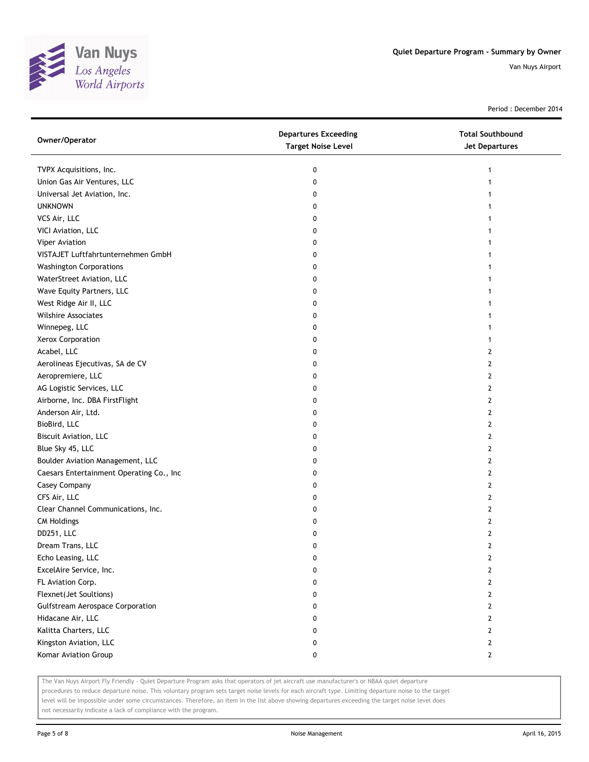

Period : December 2014

| Owner/Operator                           | <b>Departures Exceeding</b><br><b>Target Noise Level</b> | <b>Total Southbound</b><br><b>Jet Departures</b> |
|------------------------------------------|----------------------------------------------------------|--------------------------------------------------|
| TVPX Acquisitions, Inc.                  | 0                                                        | 1                                                |
| Union Gas Air Ventures, LLC              | 0                                                        |                                                  |
| Universal Jet Aviation, Inc.             | 0                                                        |                                                  |
| <b>UNKNOWN</b>                           | 0                                                        |                                                  |
| VCS Air, LLC                             | 0                                                        |                                                  |
| VICI Aviation, LLC                       | 0                                                        | 1                                                |
| Viper Aviation                           | 0                                                        | 1                                                |
| VISTAJET Luftfahrtunternehmen GmbH       | 0                                                        |                                                  |
| <b>Washington Corporations</b>           | 0                                                        |                                                  |
| WaterStreet Aviation, LLC                | 0                                                        |                                                  |
| Wave Equity Partners, LLC                | 0                                                        |                                                  |
| West Ridge Air II, LLC                   | 0                                                        |                                                  |
| Wilshire Associates                      | 0                                                        |                                                  |
| Winnepeg, LLC                            | 0                                                        |                                                  |
| Xerox Corporation                        | 0                                                        |                                                  |
| Acabel, LLC                              | 0                                                        | 2                                                |
| Aerolineas Ejecutivas, SA de CV          | 0                                                        | 2                                                |
| Aeropremiere, LLC                        | 0                                                        | 2                                                |
| AG Logistic Services, LLC                | 0                                                        | 2                                                |
| Airborne, Inc. DBA FirstFlight           | 0                                                        | $\mathbf{2}$                                     |
| Anderson Air, Ltd.                       | 0                                                        | $\mathbf{2}$                                     |
| BioBird, LLC                             | 0                                                        | 2                                                |
| Biscuit Aviation, LLC                    | 0                                                        | 2                                                |
| Blue Sky 45, LLC                         | 0                                                        | 2                                                |
| Boulder Aviation Management, LLC         | 0                                                        | 2                                                |
| Caesars Entertainment Operating Co., Inc | 0                                                        | 2                                                |
| Casey Company                            | 0                                                        | 2                                                |
| CFS Air, LLC                             | 0                                                        | 2                                                |
| Clear Channel Communications, Inc.       | 0                                                        | 2                                                |
| <b>CM Holdings</b>                       | 0                                                        | $\overline{2}$                                   |
| DD251, LLC                               | 0                                                        | $\mathbf{2}$                                     |
| Dream Trans, LLC                         | 0                                                        | $\overline{2}$                                   |
| Echo Leasing, LLC                        | 0                                                        | 2                                                |
| ExcelAire Service, Inc.                  | 0                                                        | 2                                                |
| FL Aviation Corp.                        | 0                                                        | $\mathbf{2}$                                     |
| Flexnet(Jet Soultions)                   | 0                                                        | $\mathbf{2}$                                     |
| <b>Gulfstream Aerospace Corporation</b>  | 0                                                        | $\overline{2}$                                   |
| Hidacane Air, LLC                        | 0                                                        | 2                                                |
| Kalitta Charters, LLC                    | 0                                                        | $\mathbf{2}$                                     |
| Kingston Aviation, LLC                   | 0                                                        | $\mathbf{2}$                                     |
| Komar Aviation Group                     | 0                                                        | $\mathbf{2}$                                     |

The Van Nuys Airport Fly Friendly - Quiet Departure Program asks that operators of jet aircraft use manufacturer's or NBAA quiet departure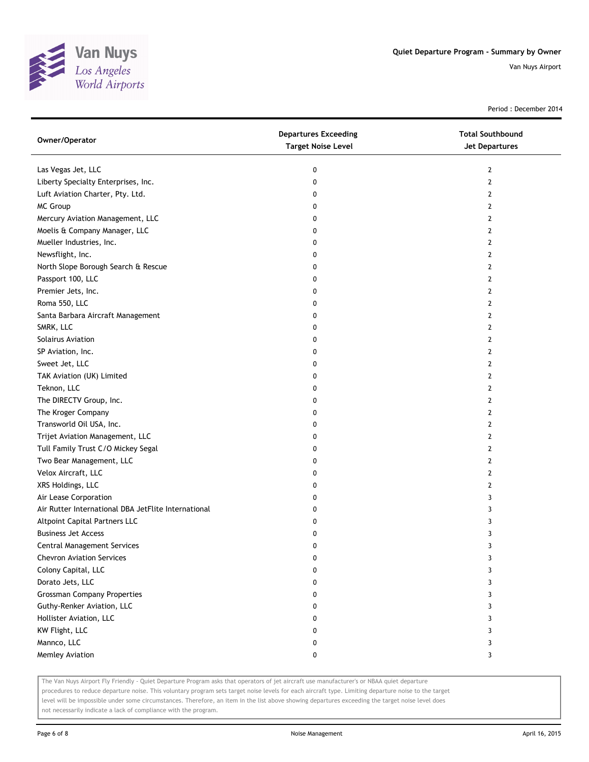

Period : December 2014

| Owner/Operator                                      | <b>Departures Exceeding</b><br><b>Target Noise Level</b> | <b>Total Southbound</b><br>Jet Departures |
|-----------------------------------------------------|----------------------------------------------------------|-------------------------------------------|
| Las Vegas Jet, LLC                                  | 0                                                        | 2                                         |
| Liberty Specialty Enterprises, Inc.                 | 0                                                        | $\overline{2}$                            |
| Luft Aviation Charter, Pty. Ltd.                    | 0                                                        | 2                                         |
| MC Group                                            | 0                                                        | 2                                         |
| Mercury Aviation Management, LLC                    | 0                                                        | 2                                         |
| Moelis & Company Manager, LLC                       | 0                                                        | 2                                         |
| Mueller Industries, Inc.                            | 0                                                        | 2                                         |
| Newsflight, Inc.                                    | 0                                                        | 2                                         |
| North Slope Borough Search & Rescue                 | 0                                                        | 2                                         |
| Passport 100, LLC                                   | 0                                                        | $\overline{2}$                            |
| Premier Jets, Inc.                                  | 0                                                        | $\overline{2}$                            |
| Roma 550, LLC                                       | 0                                                        | 2                                         |
| Santa Barbara Aircraft Management                   | 0                                                        | 2                                         |
| SMRK, LLC                                           | 0                                                        | 2                                         |
| Solairus Aviation                                   | 0                                                        | 2                                         |
| SP Aviation, Inc.                                   | 0                                                        | 2                                         |
| Sweet Jet, LLC                                      | 0                                                        | 2                                         |
| TAK Aviation (UK) Limited                           | 0                                                        | 2                                         |
| Teknon, LLC                                         | 0                                                        | 2                                         |
| The DIRECTV Group, Inc.                             | 0                                                        | $\mathbf{2}$                              |
| The Kroger Company                                  | 0                                                        | $\overline{2}$                            |
| Transworld Oil USA, Inc.                            | 0                                                        | $\overline{2}$                            |
| Trijet Aviation Management, LLC                     | 0                                                        | 2                                         |
| Tull Family Trust C/O Mickey Segal                  | 0                                                        | 2                                         |
| Two Bear Management, LLC                            | 0                                                        | 2                                         |
| Velox Aircraft, LLC                                 | 0                                                        | 2                                         |
| XRS Holdings, LLC                                   | 0                                                        | 2                                         |
| Air Lease Corporation                               | 0                                                        | 3                                         |
| Air Rutter International DBA JetFlite International | 0                                                        | 3                                         |
| Altpoint Capital Partners LLC                       | 0                                                        | 3                                         |
| <b>Business Jet Access</b>                          | 0                                                        | 3                                         |
| <b>Central Management Services</b>                  | 0                                                        | 3                                         |
| <b>Chevron Aviation Services</b>                    | 0                                                        | 3                                         |
| Colony Capital, LLC                                 | 0                                                        | 3                                         |
| Dorato Jets, LLC                                    | 0                                                        | 3                                         |
| <b>Grossman Company Properties</b>                  | 0                                                        | 3                                         |
| Guthy-Renker Aviation, LLC                          | 0                                                        | 3                                         |
| Hollister Aviation, LLC                             | 0                                                        | 3                                         |
| KW Flight, LLC                                      | 0                                                        | 3                                         |
| Mannco, LLC                                         | 0                                                        | 3                                         |
| Memley Aviation                                     | 0                                                        | 3                                         |

The Van Nuys Airport Fly Friendly - Quiet Departure Program asks that operators of jet aircraft use manufacturer's or NBAA quiet departure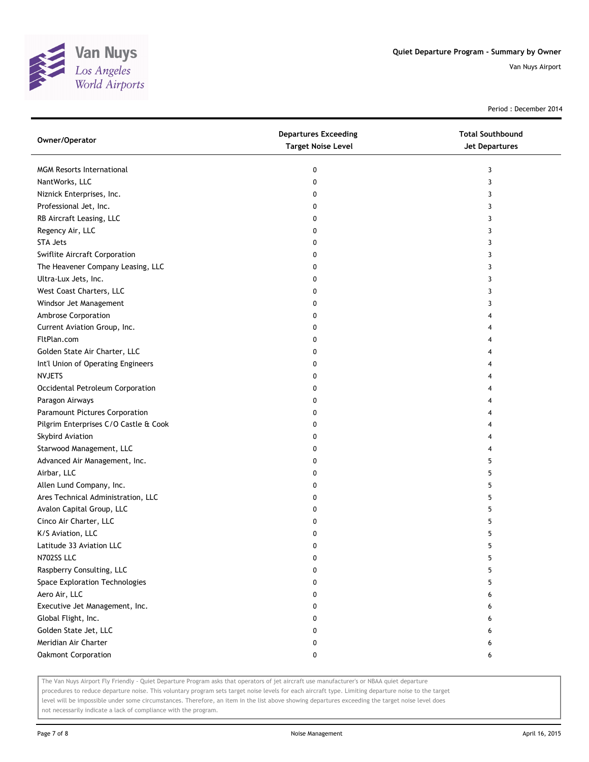

Period : December 2014

| Owner/Operator                        | <b>Departures Exceeding</b><br><b>Target Noise Level</b> | <b>Total Southbound</b><br>Jet Departures |
|---------------------------------------|----------------------------------------------------------|-------------------------------------------|
| <b>MGM Resorts International</b>      | 0                                                        | 3                                         |
| NantWorks, LLC                        | 0                                                        | 3                                         |
| Niznick Enterprises, Inc.             | 0                                                        | 3                                         |
| Professional Jet, Inc.                | 0                                                        | 3                                         |
| RB Aircraft Leasing, LLC              | 0                                                        | 3                                         |
| Regency Air, LLC                      | 0                                                        | 3                                         |
| <b>STA Jets</b>                       | 0                                                        | 3                                         |
| Swiflite Aircraft Corporation         | 0                                                        | 3                                         |
| The Heavener Company Leasing, LLC     | 0                                                        | 3                                         |
| Ultra-Lux Jets, Inc.                  | 0                                                        | 3                                         |
| West Coast Charters, LLC              | 0                                                        | 3                                         |
| Windsor Jet Management                | 0                                                        | 3                                         |
| Ambrose Corporation                   | 0                                                        |                                           |
| Current Aviation Group, Inc.          | 0                                                        | 4                                         |
| FltPlan.com                           | 0                                                        | 4                                         |
| Golden State Air Charter, LLC         | 0                                                        | 4                                         |
| Int'l Union of Operating Engineers    | 0                                                        | 4                                         |
| <b>NVJETS</b>                         | 0                                                        | 4                                         |
| Occidental Petroleum Corporation      | 0                                                        | 4                                         |
| Paragon Airways                       | 0                                                        | 4                                         |
| Paramount Pictures Corporation        | 0                                                        | 4                                         |
| Pilgrim Enterprises C/O Castle & Cook | 0                                                        | 4                                         |
| Skybird Aviation                      | 0                                                        | 4                                         |
| Starwood Management, LLC              | 0                                                        | 4                                         |
| Advanced Air Management, Inc.         | 0                                                        | 5                                         |
| Airbar, LLC                           | 0                                                        | 5                                         |
| Allen Lund Company, Inc.              | 0                                                        | 5                                         |
| Ares Technical Administration, LLC    | 0                                                        | 5                                         |
| Avalon Capital Group, LLC             | 0                                                        | 5                                         |
| Cinco Air Charter, LLC                | 0                                                        | 5                                         |
| K/S Aviation, LLC                     | 0                                                        | 5                                         |
| Latitude 33 Aviation LLC              | 0                                                        | 5                                         |
| N702SS LLC                            | 0                                                        | 5                                         |
| Raspberry Consulting, LLC             | 0                                                        | 5                                         |
| Space Exploration Technologies        | 0                                                        | 5                                         |
| Aero Air, LLC                         | 0                                                        | 6                                         |
| Executive Jet Management, Inc.        | 0                                                        | 6                                         |
| Global Flight, Inc.                   | 0                                                        | 6                                         |
| Golden State Jet, LLC                 | 0                                                        | 6                                         |
| Meridian Air Charter                  | 0                                                        | 6                                         |
| Oakmont Corporation                   | 0                                                        | 6                                         |

The Van Nuys Airport Fly Friendly - Quiet Departure Program asks that operators of jet aircraft use manufacturer's or NBAA quiet departure